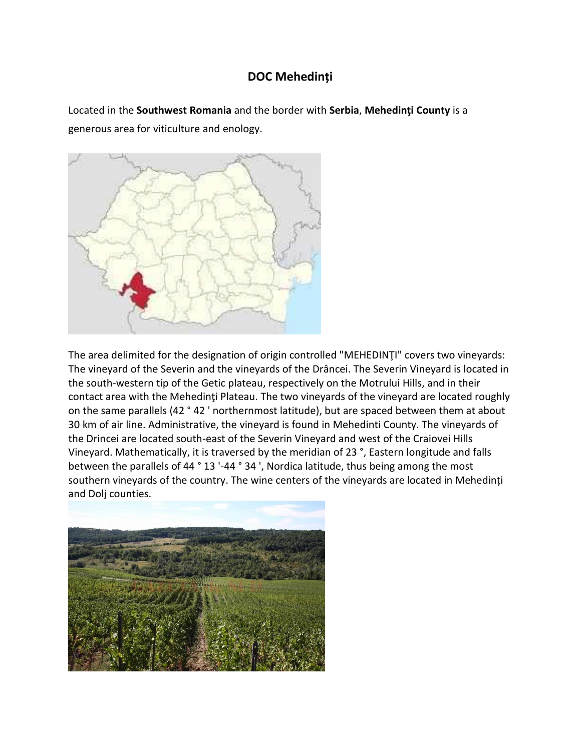## **DOC [Mehedin](https://premiumwinesofromania.com/doc-mehedinti/)ți**

Located in the **Southwest Romania** and the border with **Serbia**, **Mehedinţi County** is a generous area for viticulture and enology.



The area delimited for the designation of origin controlled "MEHEDINŢI" covers two vineyards: The vineyard of the Severin and the vineyards of the Drâncei. The Severin Vineyard is located in the south-western tip of the Getic plateau, respectively on the Motrului Hills, and in their contact area with the Mehedinti Plateau. The two vineyards of the vineyard are located roughly on the same parallels (42 ° 42 ' northernmost latitude), but are spaced between them at about 30 km of air line. Administrative, the vineyard is found in Mehedinti County. The vineyards of the Drincei are located south-east of the Severin Vineyard and west of the Craiovei Hills Vineyard. Mathematically, it is traversed by the meridian of 23 °, Eastern longitude and falls between the parallels of 44 ° 13 '-44 ° 34 ', Nordica latitude, thus being among the most southern vineyards of the country. The wine centers of the vineyards are located in Mehedinți and Dolj counties.

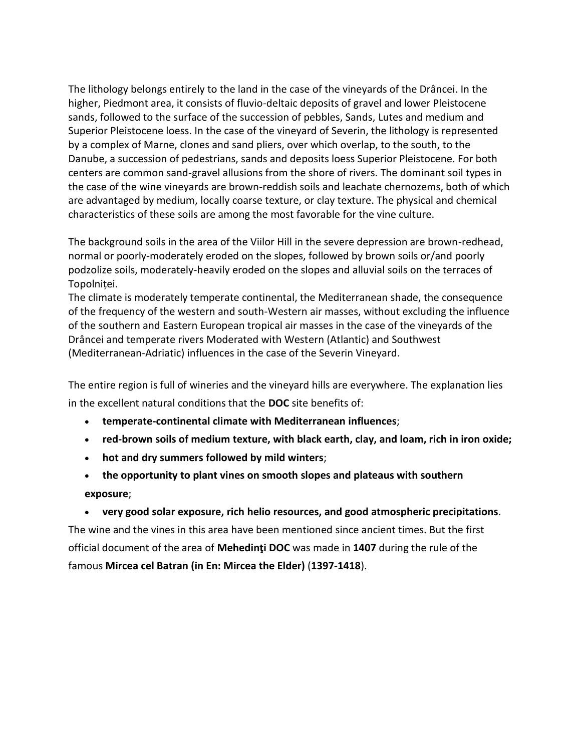The lithology belongs entirely to the land in the case of the vineyards of the Drâncei. In the higher, Piedmont area, it consists of fluvio-deltaic deposits of gravel and lower Pleistocene sands, followed to the surface of the succession of pebbles, Sands, Lutes and medium and Superior Pleistocene loess. In the case of the vineyard of Severin, the lithology is represented by a complex of Marne, clones and sand pliers, over which overlap, to the south, to the Danube, a succession of pedestrians, sands and deposits loess Superior Pleistocene. For both centers are common sand-gravel allusions from the shore of rivers. The dominant soil types in the case of the wine vineyards are brown-reddish soils and leachate chernozems, both of which are advantaged by medium, locally coarse texture, or clay texture. The physical and chemical characteristics of these soils are among the most favorable for the vine culture.

The background soils in the area of the Viilor Hill in the severe depression are brown-redhead, normal or poorly-moderately eroded on the slopes, followed by brown soils or/and poorly podzolize soils, moderately-heavily eroded on the slopes and alluvial soils on the terraces of Topolniței.

The climate is moderately temperate continental, the Mediterranean shade, the consequence of the frequency of the western and south-Western air masses, without excluding the influence of the southern and Eastern European tropical air masses in the case of the vineyards of the Drâncei and temperate rivers Moderated with Western (Atlantic) and Southwest (Mediterranean-Adriatic) influences in the case of the Severin Vineyard.

The entire region is full of wineries and the vineyard hills are everywhere. The explanation lies in the excellent natural conditions that the **DOC** site benefits of:

- **temperate-continental climate with Mediterranean influences**;
- **red-brown soils of medium texture, with black earth, clay, and loam, rich in iron oxide;**
- **hot and dry summers followed by mild winters**;
- **the opportunity to plant vines on smooth slopes and plateaus with southern exposure**;

 **very good solar exposure, rich helio resources, and good atmospheric precipitations**. The wine and the vines in this area have been mentioned since ancient times. But the first official document of the area of **Mehedinţi DOC** was made in **1407** during the rule of the famous **Mircea cel Batran (in En: Mircea the Elder)** (**1397-1418**).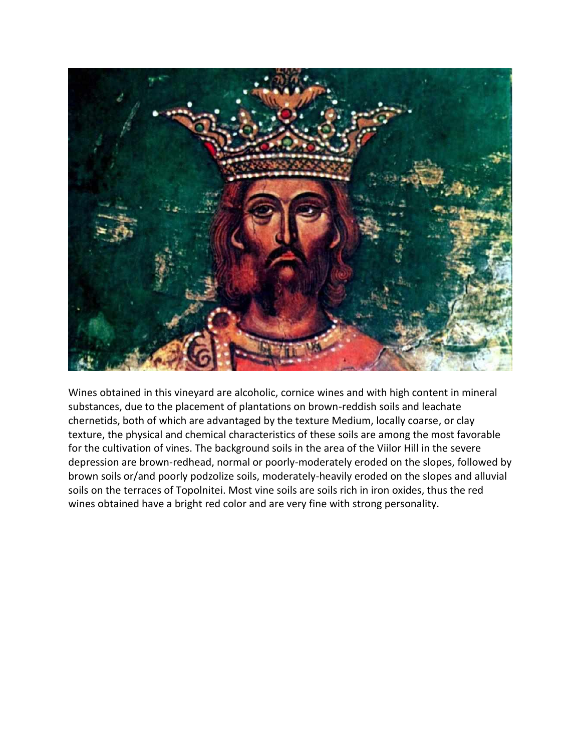

Wines obtained in this vineyard are alcoholic, cornice wines and with high content in mineral substances, due to the placement of plantations on brown-reddish soils and leachate chernetids, both of which are advantaged by the texture Medium, locally coarse, or clay texture, the physical and chemical characteristics of these soils are among the most favorable for the cultivation of vines. The background soils in the area of the Viilor Hill in the severe depression are brown-redhead, normal or poorly-moderately eroded on the slopes, followed by brown soils or/and poorly podzolize soils, moderately-heavily eroded on the slopes and alluvial soils on the terraces of Topolnitei. Most vine soils are soils rich in iron oxides, thus the red wines obtained have a bright red color and are very fine with strong personality.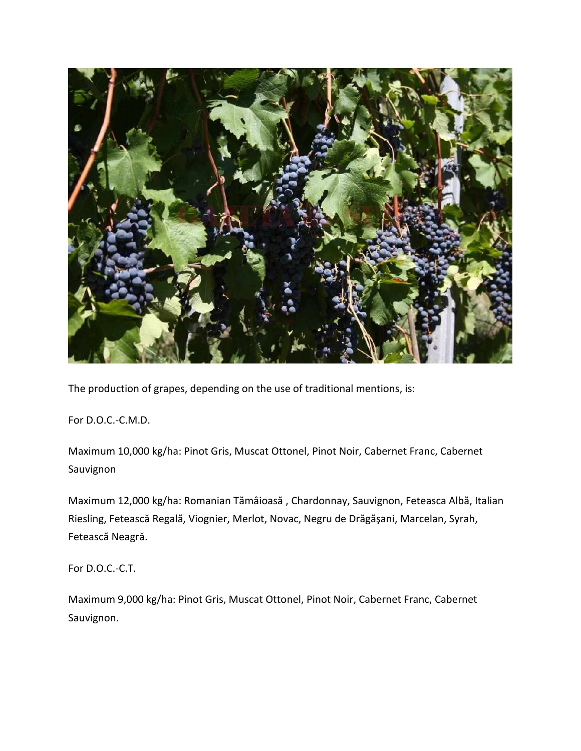

The production of grapes, depending on the use of traditional mentions, is:

For D.O.C.-C.M.D.

Maximum 10,000 kg/ha: Pinot Gris, Muscat Ottonel, Pinot Noir, Cabernet Franc, Cabernet Sauvignon

Maximum 12,000 kg/ha: Romanian Tămâioasă , Chardonnay, Sauvignon, Feteasca Albă, Italian Riesling, Fetească Regală, Viognier, Merlot, Novac, Negru de Drăgăşani, Marcelan, Syrah, Fetească Neagră.

For D.O.C.-C.T.

Maximum 9,000 kg/ha: Pinot Gris, Muscat Ottonel, Pinot Noir, Cabernet Franc, Cabernet Sauvignon.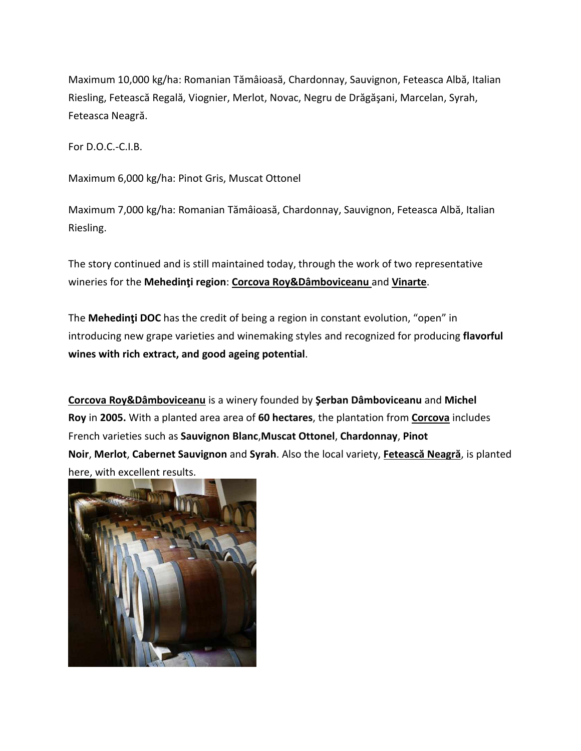Maximum 10,000 kg/ha: Romanian Tămâioasă, Chardonnay, Sauvignon, Feteasca Albă, Italian Riesling, Fetească Regală, Viognier, Merlot, Novac, Negru de Drăgăşani, Marcelan, Syrah, Feteasca Neagră.

For D.O.C.-C.I.B.

Maximum 6,000 kg/ha: Pinot Gris, Muscat Ottonel

Maximum 7,000 kg/ha: Romanian Tămâioasă, Chardonnay, Sauvignon, Feteasca Albă, Italian Riesling.

The story continued and is still maintained today, through the work of two representative wineries for the **Mehedinţi region**: **Corcova [Roy&Dâmboviceanu](https://wineinromania.com/corcova-roy-damboviceanu/)** and **[Vinarte](https://wineinromania.com/vinarte/)**.

The **Mehedinţi DOC** has the credit of being a region in constant evolution, "open" in introducing new grape varieties and winemaking styles and recognized for producing **flavorful wines with rich extract, and good ageing potential**.

**Corcova [Roy&Dâmboviceanu](https://wineinromania.com/corcova-roy-damboviceanu/)** is a winery founded by **Şerban Dâmboviceanu** and **Michel Roy** in **2005.** With a planted area area of **60 hectares**, the plantation from **[Corcova](https://wineinromania.com/corcova-roy-damboviceanu/)** includes French varieties such as **Sauvignon Blanc**,**Muscat Ottonel**, **Chardonnay**, **Pinot Noir**, **Merlot**, **Cabernet Sauvignon** and **Syrah**. Also the local variety, **[Fetească](https://wineinromania.com/feteasca-neagra/) Neagră**, is planted here, with excellent results.